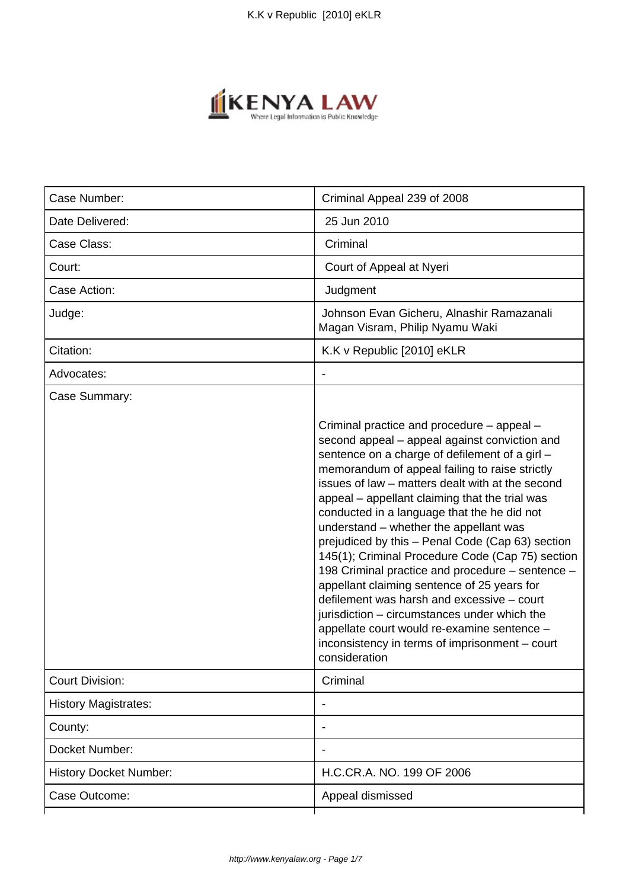

| Case Number:                  | Criminal Appeal 239 of 2008                                                                                                                                                                                                                                                                                                                                                                                                                                                                                                                                                                                                                                                                                                                                                                                               |  |  |  |
|-------------------------------|---------------------------------------------------------------------------------------------------------------------------------------------------------------------------------------------------------------------------------------------------------------------------------------------------------------------------------------------------------------------------------------------------------------------------------------------------------------------------------------------------------------------------------------------------------------------------------------------------------------------------------------------------------------------------------------------------------------------------------------------------------------------------------------------------------------------------|--|--|--|
| Date Delivered:               | 25 Jun 2010                                                                                                                                                                                                                                                                                                                                                                                                                                                                                                                                                                                                                                                                                                                                                                                                               |  |  |  |
| Case Class:                   | Criminal                                                                                                                                                                                                                                                                                                                                                                                                                                                                                                                                                                                                                                                                                                                                                                                                                  |  |  |  |
| Court:                        | Court of Appeal at Nyeri                                                                                                                                                                                                                                                                                                                                                                                                                                                                                                                                                                                                                                                                                                                                                                                                  |  |  |  |
| Case Action:                  | Judgment                                                                                                                                                                                                                                                                                                                                                                                                                                                                                                                                                                                                                                                                                                                                                                                                                  |  |  |  |
| Judge:                        | Johnson Evan Gicheru, Alnashir Ramazanali<br>Magan Visram, Philip Nyamu Waki                                                                                                                                                                                                                                                                                                                                                                                                                                                                                                                                                                                                                                                                                                                                              |  |  |  |
| Citation:                     | K.K v Republic [2010] eKLR                                                                                                                                                                                                                                                                                                                                                                                                                                                                                                                                                                                                                                                                                                                                                                                                |  |  |  |
| Advocates:                    |                                                                                                                                                                                                                                                                                                                                                                                                                                                                                                                                                                                                                                                                                                                                                                                                                           |  |  |  |
| Case Summary:                 | Criminal practice and procedure – appeal –<br>second appeal - appeal against conviction and<br>sentence on a charge of defilement of a girl -<br>memorandum of appeal failing to raise strictly<br>issues of law – matters dealt with at the second<br>appeal - appellant claiming that the trial was<br>conducted in a language that the he did not<br>understand - whether the appellant was<br>prejudiced by this - Penal Code (Cap 63) section<br>145(1); Criminal Procedure Code (Cap 75) section<br>198 Criminal practice and procedure - sentence -<br>appellant claiming sentence of 25 years for<br>defilement was harsh and excessive - court<br>jurisdiction – circumstances under which the<br>appellate court would re-examine sentence -<br>inconsistency in terms of imprisonment – court<br>consideration |  |  |  |
| <b>Court Division:</b>        | Criminal                                                                                                                                                                                                                                                                                                                                                                                                                                                                                                                                                                                                                                                                                                                                                                                                                  |  |  |  |
| <b>History Magistrates:</b>   | -                                                                                                                                                                                                                                                                                                                                                                                                                                                                                                                                                                                                                                                                                                                                                                                                                         |  |  |  |
| County:                       |                                                                                                                                                                                                                                                                                                                                                                                                                                                                                                                                                                                                                                                                                                                                                                                                                           |  |  |  |
| Docket Number:                |                                                                                                                                                                                                                                                                                                                                                                                                                                                                                                                                                                                                                                                                                                                                                                                                                           |  |  |  |
| <b>History Docket Number:</b> | H.C.CR.A. NO. 199 OF 2006                                                                                                                                                                                                                                                                                                                                                                                                                                                                                                                                                                                                                                                                                                                                                                                                 |  |  |  |
| Case Outcome:                 | Appeal dismissed                                                                                                                                                                                                                                                                                                                                                                                                                                                                                                                                                                                                                                                                                                                                                                                                          |  |  |  |
|                               |                                                                                                                                                                                                                                                                                                                                                                                                                                                                                                                                                                                                                                                                                                                                                                                                                           |  |  |  |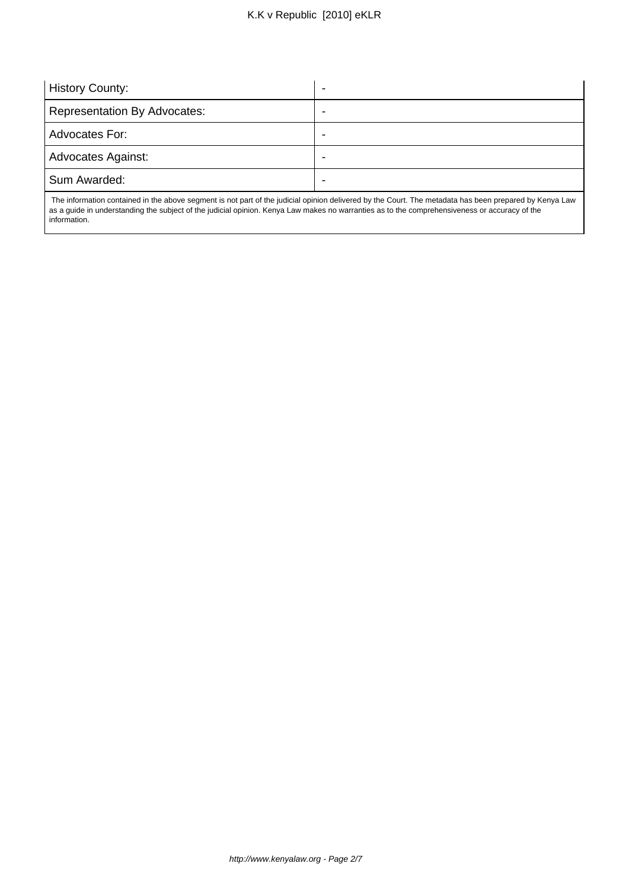| History County:                     | $\,$           |
|-------------------------------------|----------------|
| <b>Representation By Advocates:</b> | $\blacksquare$ |
| Advocates For:                      | -              |
| <b>Advocates Against:</b>           | -              |
| Sum Awarded:                        | ۰              |
|                                     |                |

 The information contained in the above segment is not part of the judicial opinion delivered by the Court. The metadata has been prepared by Kenya Law as a guide in understanding the subject of the judicial opinion. Kenya Law makes no warranties as to the comprehensiveness or accuracy of the information.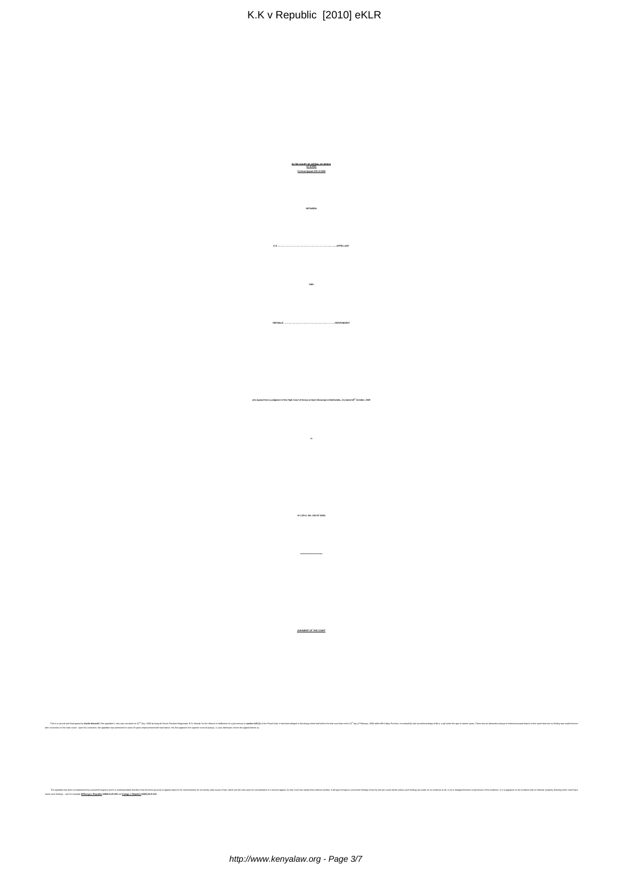| IN THE COURT OF APPEAL OF KENYA<br>AT NYERI                                                                                                                                                                                                                                                                                                                      |
|------------------------------------------------------------------------------------------------------------------------------------------------------------------------------------------------------------------------------------------------------------------------------------------------------------------------------------------------------------------|
| Criminal Appeal 239 of 2008                                                                                                                                                                                                                                                                                                                                      |
|                                                                                                                                                                                                                                                                                                                                                                  |
| <b>BETWEEN</b>                                                                                                                                                                                                                                                                                                                                                   |
|                                                                                                                                                                                                                                                                                                                                                                  |
|                                                                                                                                                                                                                                                                                                                                                                  |
|                                                                                                                                                                                                                                                                                                                                                                  |
|                                                                                                                                                                                                                                                                                                                                                                  |
|                                                                                                                                                                                                                                                                                                                                                                  |
| AND <b>AND</b>                                                                                                                                                                                                                                                                                                                                                   |
|                                                                                                                                                                                                                                                                                                                                                                  |
|                                                                                                                                                                                                                                                                                                                                                                  |
|                                                                                                                                                                                                                                                                                                                                                                  |
|                                                                                                                                                                                                                                                                                                                                                                  |
|                                                                                                                                                                                                                                                                                                                                                                  |
|                                                                                                                                                                                                                                                                                                                                                                  |
|                                                                                                                                                                                                                                                                                                                                                                  |
| (An Appeal from a judgment of the High Court of Kenya at Nyeri (Kasango & Makhandia, JJ.) dated 28 <sup>th</sup> October, 2008                                                                                                                                                                                                                                   |
|                                                                                                                                                                                                                                                                                                                                                                  |
|                                                                                                                                                                                                                                                                                                                                                                  |
| $\mathcal{L}^{\text{max}}_{\text{max}}$ and $\mathcal{L}^{\text{max}}_{\text{max}}$ . The $\mathcal{L}^{\text{max}}_{\text{max}}$                                                                                                                                                                                                                                |
|                                                                                                                                                                                                                                                                                                                                                                  |
|                                                                                                                                                                                                                                                                                                                                                                  |
|                                                                                                                                                                                                                                                                                                                                                                  |
|                                                                                                                                                                                                                                                                                                                                                                  |
| H.C.CR.A. NO. 199 OF 2006)                                                                                                                                                                                                                                                                                                                                       |
|                                                                                                                                                                                                                                                                                                                                                                  |
|                                                                                                                                                                                                                                                                                                                                                                  |
|                                                                                                                                                                                                                                                                                                                                                                  |
|                                                                                                                                                                                                                                                                                                                                                                  |
|                                                                                                                                                                                                                                                                                                                                                                  |
|                                                                                                                                                                                                                                                                                                                                                                  |
|                                                                                                                                                                                                                                                                                                                                                                  |
| JUDGMENT OF THE COURT                                                                                                                                                                                                                                                                                                                                            |
|                                                                                                                                                                                                                                                                                                                                                                  |
|                                                                                                                                                                                                                                                                                                                                                                  |
|                                                                                                                                                                                                                                                                                                                                                                  |
|                                                                                                                                                                                                                                                                                                                                                                  |
|                                                                                                                                                                                                                                                                                                                                                                  |
|                                                                                                                                                                                                                                                                                                                                                                  |
| The United States of the State of the State of the State of the State of the State of the State of the State of the State of the State of the State of the State of the State of the State of the State of the State of the St                                                                                                                                   |
|                                                                                                                                                                                                                                                                                                                                                                  |
|                                                                                                                                                                                                                                                                                                                                                                  |
|                                                                                                                                                                                                                                                                                                                                                                  |
|                                                                                                                                                                                                                                                                                                                                                                  |
| he systember the company of the company of the the the system of the system in the system in the system in the system in the system in the system in the system in the system in the system in the system in the system in the<br>raion or perversion of the exidence, or it is apparent on the evidence that no tribunal, properly directing itself, could have |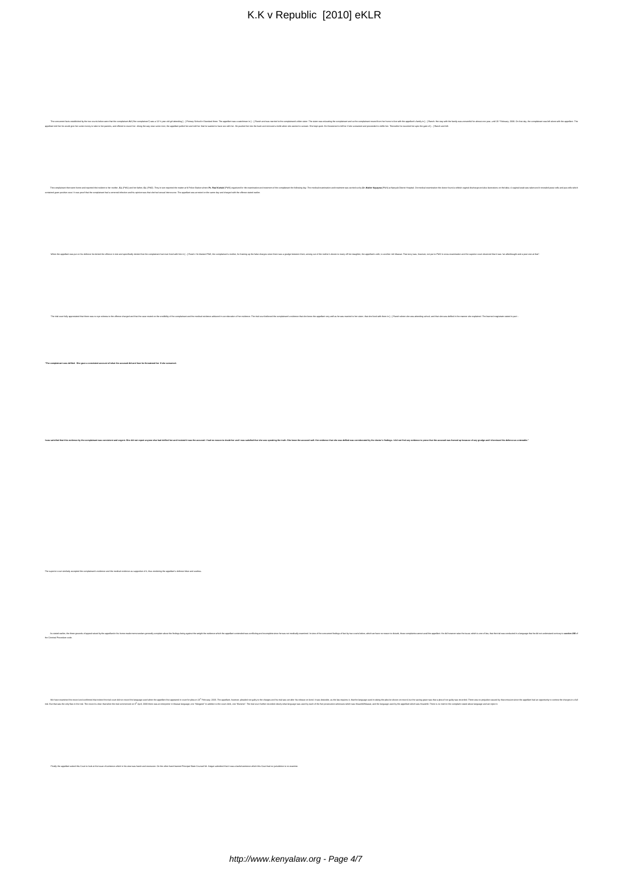| The concentral basis and label by the inconstructure was that he completed MP the completed Party and assemble 2 (2) yare old git affect out assemble 2 (2) yare old gout data the assemble man. The appelant concentral assem<br>appellant told har he would give her acme money is take to her pannit, and offered to escort her. Along the way max some river, the appellant pulled her and islat hore in acts in the basis and her has be assessible. Plus b                                                                                                                                                                                                                                   |  |
|----------------------------------------------------------------------------------------------------------------------------------------------------------------------------------------------------------------------------------------------------------------------------------------------------------------------------------------------------------------------------------------------------------------------------------------------------------------------------------------------------------------------------------------------------------------------------------------------------------------------------------------------------------------------------------------------------|--|
|                                                                                                                                                                                                                                                                                                                                                                                                                                                                                                                                                                                                                                                                                                    |  |
|                                                                                                                                                                                                                                                                                                                                                                                                                                                                                                                                                                                                                                                                                                    |  |
|                                                                                                                                                                                                                                                                                                                                                                                                                                                                                                                                                                                                                                                                                                    |  |
|                                                                                                                                                                                                                                                                                                                                                                                                                                                                                                                                                                                                                                                                                                    |  |
|                                                                                                                                                                                                                                                                                                                                                                                                                                                                                                                                                                                                                                                                                                    |  |
| inset then west home and reported the incident to her mother, \$1.(PW1) and her father, \$1.(PW2). They in turn reported the matter at N Police Station where Pc. Plaal Kankeld (PW5) organized for the examination and treats<br>insert of the compleirant the following day. The medical examination and inselment was conted out by Dr. Walter Keyayas (PNV) at Nanyaki District Hospital. On medical examination the doctor found a whilsth vaginal discharg<br>ined gram positive cocci. It was proof that the complainant had a venereal infection and his opinion was that abe had sexual intercourse. The appellant was arrested on the same day and changed with the offence stated earli |  |
|                                                                                                                                                                                                                                                                                                                                                                                                                                                                                                                                                                                                                                                                                                    |  |
|                                                                                                                                                                                                                                                                                                                                                                                                                                                                                                                                                                                                                                                                                                    |  |
|                                                                                                                                                                                                                                                                                                                                                                                                                                                                                                                                                                                                                                                                                                    |  |
|                                                                                                                                                                                                                                                                                                                                                                                                                                                                                                                                                                                                                                                                                                    |  |
| et was put on his defects he derived for affects in this state particular point of the completent had over lead with him in ,] Reach, He idened for the completed need to the completed from the particular the format puri                                                                                                                                                                                                                                                                                                                                                                                                                                                                        |  |
|                                                                                                                                                                                                                                                                                                                                                                                                                                                                                                                                                                                                                                                                                                    |  |
|                                                                                                                                                                                                                                                                                                                                                                                                                                                                                                                                                                                                                                                                                                    |  |
|                                                                                                                                                                                                                                                                                                                                                                                                                                                                                                                                                                                                                                                                                                    |  |
|                                                                                                                                                                                                                                                                                                                                                                                                                                                                                                                                                                                                                                                                                                    |  |
| a tisi court bly appreciated that them was to eye whean to the collected that the case meand on the rediabilit of the completest and the medical enderous additional different additional method the completes can are the win                                                                                                                                                                                                                                                                                                                                                                                                                                                                     |  |
|                                                                                                                                                                                                                                                                                                                                                                                                                                                                                                                                                                                                                                                                                                    |  |
|                                                                                                                                                                                                                                                                                                                                                                                                                                                                                                                                                                                                                                                                                                    |  |
|                                                                                                                                                                                                                                                                                                                                                                                                                                                                                                                                                                                                                                                                                                    |  |
| The complainant was defiled. She gave a consistent account of what the accused did and how he threatened her if she screamed.                                                                                                                                                                                                                                                                                                                                                                                                                                                                                                                                                                      |  |
|                                                                                                                                                                                                                                                                                                                                                                                                                                                                                                                                                                                                                                                                                                    |  |
|                                                                                                                                                                                                                                                                                                                                                                                                                                                                                                                                                                                                                                                                                                    |  |
|                                                                                                                                                                                                                                                                                                                                                                                                                                                                                                                                                                                                                                                                                                    |  |
|                                                                                                                                                                                                                                                                                                                                                                                                                                                                                                                                                                                                                                                                                                    |  |
|                                                                                                                                                                                                                                                                                                                                                                                                                                                                                                                                                                                                                                                                                                    |  |
| ant and cogent. She did not report anyone else had delifed her and insisted twas the accused. I had no nassen to doubt her and i was suited that she was apsailing the irrorit. She knew the accused well. Here endined that w                                                                                                                                                                                                                                                                                                                                                                                                                                                                     |  |
|                                                                                                                                                                                                                                                                                                                                                                                                                                                                                                                                                                                                                                                                                                    |  |
|                                                                                                                                                                                                                                                                                                                                                                                                                                                                                                                                                                                                                                                                                                    |  |
|                                                                                                                                                                                                                                                                                                                                                                                                                                                                                                                                                                                                                                                                                                    |  |
|                                                                                                                                                                                                                                                                                                                                                                                                                                                                                                                                                                                                                                                                                                    |  |
|                                                                                                                                                                                                                                                                                                                                                                                                                                                                                                                                                                                                                                                                                                    |  |
|                                                                                                                                                                                                                                                                                                                                                                                                                                                                                                                                                                                                                                                                                                    |  |
|                                                                                                                                                                                                                                                                                                                                                                                                                                                                                                                                                                                                                                                                                                    |  |
|                                                                                                                                                                                                                                                                                                                                                                                                                                                                                                                                                                                                                                                                                                    |  |
|                                                                                                                                                                                                                                                                                                                                                                                                                                                                                                                                                                                                                                                                                                    |  |
|                                                                                                                                                                                                                                                                                                                                                                                                                                                                                                                                                                                                                                                                                                    |  |
| ted the completes it evidence and the medical evidence as supportive of it, thus rendering the appellant's defence false and useless.                                                                                                                                                                                                                                                                                                                                                                                                                                                                                                                                                              |  |
|                                                                                                                                                                                                                                                                                                                                                                                                                                                                                                                                                                                                                                                                                                    |  |
|                                                                                                                                                                                                                                                                                                                                                                                                                                                                                                                                                                                                                                                                                                    |  |
|                                                                                                                                                                                                                                                                                                                                                                                                                                                                                                                                                                                                                                                                                                    |  |
|                                                                                                                                                                                                                                                                                                                                                                                                                                                                                                                                                                                                                                                                                                    |  |
| As stated end and a state of a state of the layer and the synalistic in the mail is main and a state in the state of the state of a state of the state of the state of the state of the state of mail is and a state of a stat<br>the Criminal Procedure code.                                                                                                                                                                                                                                                                                                                                                                                                                                     |  |
|                                                                                                                                                                                                                                                                                                                                                                                                                                                                                                                                                                                                                                                                                                    |  |
|                                                                                                                                                                                                                                                                                                                                                                                                                                                                                                                                                                                                                                                                                                    |  |
|                                                                                                                                                                                                                                                                                                                                                                                                                                                                                                                                                                                                                                                                                                    |  |
|                                                                                                                                                                                                                                                                                                                                                                                                                                                                                                                                                                                                                                                                                                    |  |
| We have associated contract content that content that is the control that the content in the papa and the the appart into a papart in appart in the papart is controlly in compute that the map papart is the the transition i                                                                                                                                                                                                                                                                                                                                                                                                                                                                     |  |
| title Bacthes was the origy fine in the traft in The moond in Cearc technical contents of any Paper in Paper in itemperation in interpret in Massai language, one Margange in Addition to the control charge and local charged                                                                                                                                                                                                                                                                                                                                                                                                                                                                     |  |
|                                                                                                                                                                                                                                                                                                                                                                                                                                                                                                                                                                                                                                                                                                    |  |
|                                                                                                                                                                                                                                                                                                                                                                                                                                                                                                                                                                                                                                                                                                    |  |
|                                                                                                                                                                                                                                                                                                                                                                                                                                                                                                                                                                                                                                                                                                    |  |
|                                                                                                                                                                                                                                                                                                                                                                                                                                                                                                                                                                                                                                                                                                    |  |
| Finally the appellant asked this Court to look at the issue of sentence which in his view was hands and excessive. On the other hand learned Principal State Course! Mr. Knigsi submitted that it was a lawful sentence which                                                                                                                                                                                                                                                                                                                                                                                                                                                                      |  |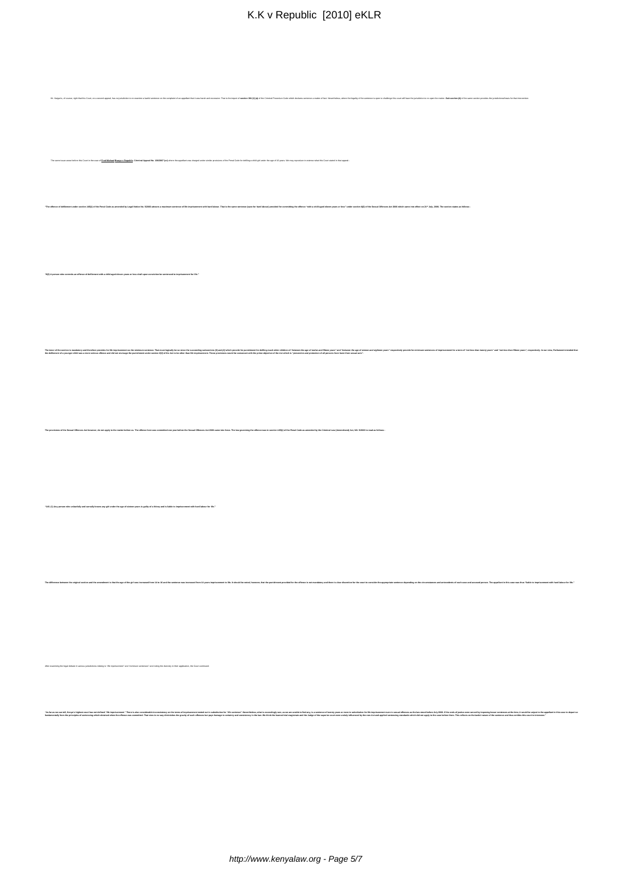| K.K v Republic [2010] eKLR                                                                                                                                                                                                                                                                                                                   |  |  |  |  |
|----------------------------------------------------------------------------------------------------------------------------------------------------------------------------------------------------------------------------------------------------------------------------------------------------------------------------------------------|--|--|--|--|
|                                                                                                                                                                                                                                                                                                                                              |  |  |  |  |
|                                                                                                                                                                                                                                                                                                                                              |  |  |  |  |
|                                                                                                                                                                                                                                                                                                                                              |  |  |  |  |
|                                                                                                                                                                                                                                                                                                                                              |  |  |  |  |
| tine a bwlul sentence on the complaint of an appellant that it was harsh and exce<br>alve. That is the import of aw<br>ian 36f (f) (a) of the Criminal Procedure Code which declares sentence a matter of fact. Nevertheless, where the legality of the sentence is open to challenge this court will have the jurisd<br>(b) of the same se- |  |  |  |  |
|                                                                                                                                                                                                                                                                                                                                              |  |  |  |  |
|                                                                                                                                                                                                                                                                                                                                              |  |  |  |  |
|                                                                                                                                                                                                                                                                                                                                              |  |  |  |  |
| fore this Court in the case of Ened Michael Beancy Resubilic, Criminal Appeal No. 1302007 (ur) where the appealant was charged under similar provisions of the Penal Code for defiling a child girl under the age of 16 years.                                                                                                               |  |  |  |  |
|                                                                                                                                                                                                                                                                                                                                              |  |  |  |  |
|                                                                                                                                                                                                                                                                                                                                              |  |  |  |  |
| dmum sentence of life imprisor<br>e for hard labour) provided for committing the offence                                                                                                                                                                                                                                                     |  |  |  |  |
|                                                                                                                                                                                                                                                                                                                                              |  |  |  |  |
|                                                                                                                                                                                                                                                                                                                                              |  |  |  |  |
|                                                                                                                                                                                                                                                                                                                                              |  |  |  |  |
|                                                                                                                                                                                                                                                                                                                                              |  |  |  |  |
| with a child aged ele<br>en years or less shall upon conviction be sente                                                                                                                                                                                                                                                                     |  |  |  |  |
|                                                                                                                                                                                                                                                                                                                                              |  |  |  |  |
|                                                                                                                                                                                                                                                                                                                                              |  |  |  |  |
|                                                                                                                                                                                                                                                                                                                                              |  |  |  |  |
|                                                                                                                                                                                                                                                                                                                                              |  |  |  |  |
| inimum sentence. That must logically be so since the succeeding subsections (3) and (4) which provide for punishment fo<br>ishment under section 8(2) of the Act to be other than life imprisonment. Those provisions would be co                                                                                                            |  |  |  |  |
|                                                                                                                                                                                                                                                                                                                                              |  |  |  |  |
|                                                                                                                                                                                                                                                                                                                                              |  |  |  |  |
|                                                                                                                                                                                                                                                                                                                                              |  |  |  |  |
|                                                                                                                                                                                                                                                                                                                                              |  |  |  |  |
| .<br>Itsel one year before the Sesual Offences Act 2006 came into force. The law governing the offence was in section 145(1) of the Penal Code as an                                                                                                                                                                                         |  |  |  |  |
|                                                                                                                                                                                                                                                                                                                                              |  |  |  |  |
|                                                                                                                                                                                                                                                                                                                                              |  |  |  |  |
|                                                                                                                                                                                                                                                                                                                                              |  |  |  |  |
|                                                                                                                                                                                                                                                                                                                                              |  |  |  |  |
| "145. (1) Any person who unlawfully and camally knows any girl under the age of sixteen years is guilty of a felony and is liable to imprisonment with hard labour for life."                                                                                                                                                                |  |  |  |  |
|                                                                                                                                                                                                                                                                                                                                              |  |  |  |  |
|                                                                                                                                                                                                                                                                                                                                              |  |  |  |  |
|                                                                                                                                                                                                                                                                                                                                              |  |  |  |  |
|                                                                                                                                                                                                                                                                                                                                              |  |  |  |  |
| The difference between the original section and the amendment is that the age of the givess increased for 15 45 and the asetion area into asset for the parameters in the asset of the parameter provided to the parameter pro                                                                                                               |  |  |  |  |
|                                                                                                                                                                                                                                                                                                                                              |  |  |  |  |
|                                                                                                                                                                                                                                                                                                                                              |  |  |  |  |
|                                                                                                                                                                                                                                                                                                                                              |  |  |  |  |
|                                                                                                                                                                                                                                                                                                                                              |  |  |  |  |
|                                                                                                                                                                                                                                                                                                                                              |  |  |  |  |
| gal debate in various jurisdictions relating to "life imprisonment" and "minimum sentences" and noting the diversity in their application, the Court continued:                                                                                                                                                                              |  |  |  |  |
|                                                                                                                                                                                                                                                                                                                                              |  |  |  |  |
|                                                                                                                                                                                                                                                                                                                                              |  |  |  |  |
| ht as a man line in the man the man in the man man man in the man deal of the man of the man man man in the man man in the man in the man in the man in the man in the man in the man in the man in the man in the man in the<br>nt in this case to                                                                                          |  |  |  |  |
|                                                                                                                                                                                                                                                                                                                                              |  |  |  |  |
|                                                                                                                                                                                                                                                                                                                                              |  |  |  |  |
|                                                                                                                                                                                                                                                                                                                                              |  |  |  |  |
|                                                                                                                                                                                                                                                                                                                                              |  |  |  |  |
|                                                                                                                                                                                                                                                                                                                                              |  |  |  |  |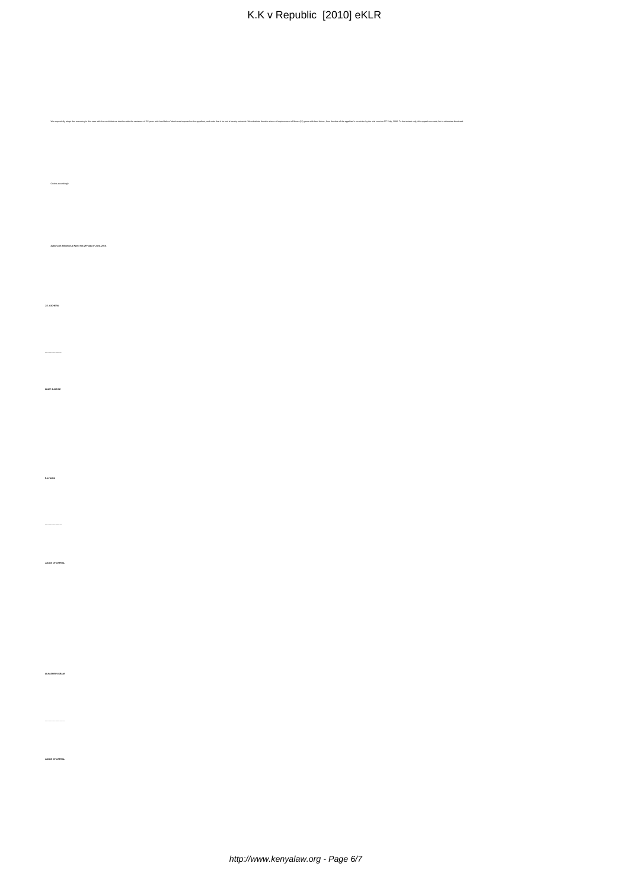K.K v Republic [2010] eKLR

| We respectively adopt that reasoning in this case with the mesul that we interfere with the ascensor of "25 years with hot lastoci which was imposed on the appeliant, and order that it be and is hereby set asids. We subst |  |  |
|-------------------------------------------------------------------------------------------------------------------------------------------------------------------------------------------------------------------------------|--|--|
|                                                                                                                                                                                                                               |  |  |
|                                                                                                                                                                                                                               |  |  |
| Orders accordingly                                                                                                                                                                                                            |  |  |
|                                                                                                                                                                                                                               |  |  |
|                                                                                                                                                                                                                               |  |  |
| ted and delivered at Nyeri this 25 <sup>th</sup> day of June, 2010.                                                                                                                                                           |  |  |
|                                                                                                                                                                                                                               |  |  |
|                                                                                                                                                                                                                               |  |  |
| J.E. GIOVERU                                                                                                                                                                                                                  |  |  |
|                                                                                                                                                                                                                               |  |  |
|                                                                                                                                                                                                                               |  |  |
|                                                                                                                                                                                                                               |  |  |
| CHIEF JUSTICE                                                                                                                                                                                                                 |  |  |
|                                                                                                                                                                                                                               |  |  |
|                                                                                                                                                                                                                               |  |  |
|                                                                                                                                                                                                                               |  |  |
| P.N. WAND                                                                                                                                                                                                                     |  |  |
|                                                                                                                                                                                                                               |  |  |
|                                                                                                                                                                                                                               |  |  |
|                                                                                                                                                                                                                               |  |  |
| JUDGE OF APPEAL                                                                                                                                                                                                               |  |  |
|                                                                                                                                                                                                                               |  |  |
|                                                                                                                                                                                                                               |  |  |
|                                                                                                                                                                                                                               |  |  |
|                                                                                                                                                                                                                               |  |  |
| ALNASHIR VISRAM                                                                                                                                                                                                               |  |  |
|                                                                                                                                                                                                                               |  |  |
|                                                                                                                                                                                                                               |  |  |
|                                                                                                                                                                                                                               |  |  |
|                                                                                                                                                                                                                               |  |  |
| JUDGE OF APPEAL                                                                                                                                                                                                               |  |  |
|                                                                                                                                                                                                                               |  |  |